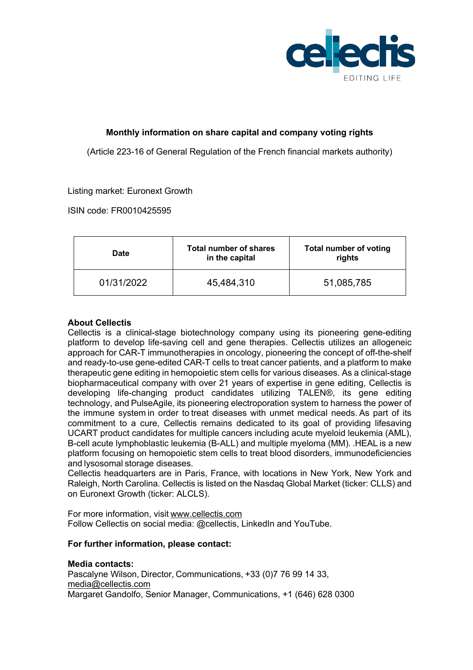

# **Monthly information on share capital and company voting rights**

(Article 223-16 of General Regulation of the French financial markets authority)

## Listing market: Euronext Growth

ISIN code: FR0010425595

| <b>Date</b> | <b>Total number of shares</b><br>in the capital | <b>Total number of voting</b><br>rights |
|-------------|-------------------------------------------------|-----------------------------------------|
| 01/31/2022  | 45,484,310                                      | 51,085,785                              |

## **About Cellectis**

Cellectis is a clinical-stage biotechnology company using its pioneering gene-editing platform to develop life-saving cell and gene therapies. Cellectis utilizes an allogeneic approach for CAR-T immunotherapies in oncology, pioneering the concept of off-the-shelf and ready-to-use gene-edited CAR-T cells to treat cancer patients, and a platform to make therapeutic gene editing in hemopoietic stem cells for various diseases. As a clinical-stage biopharmaceutical company with over 21 years of expertise in gene editing, Cellectis is developing life-changing product candidates utilizing TALEN®, its gene editing technology, and PulseAgile, its pioneering electroporation system to harness the power of the immune system in order to treat diseases with unmet medical needs. As part of its commitment to a cure, Cellectis remains dedicated to its goal of providing lifesaving UCART product candidates for multiple cancers including acute myeloid leukemia (AML), B-cell acute lymphoblastic leukemia (B-ALL) and multiple myeloma (MM). .HEAL is a new platform focusing on hemopoietic stem cells to treat blood disorders, immunodeficiencies and lysosomal storage diseases.  

Cellectis headquarters are in Paris, France, with locations in New York, New York and Raleigh, North Carolina. Cellectis is listed on the Nasdaq Global Market (ticker: CLLS) and on Euronext Growth (ticker: ALCLS).  

For more information, visit www.cellectis.com      Follow Cellectis on social media: @cellectis, LinkedIn and YouTube.

## **For further information, please contact:**

## **Media contacts:**

Pascalyne Wilson, Director, Communications, +33 (0)7 76 99 14 33, media@cellectis.com Margaret Gandolfo, Senior Manager, Communications, +1 (646) 628 0300